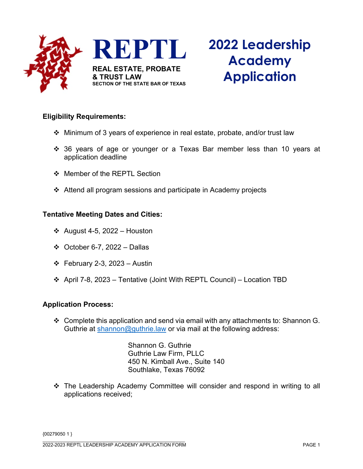

### **Eligibility Requirements:**

- $\div$  Minimum of 3 years of experience in real estate, probate, and/or trust law
- 36 years of age or younger or a Texas Bar member less than 10 years at application deadline
- ❖ Member of the REPTL Section
- Attend all program sessions and participate in Academy projects

#### **Tentative Meeting Dates and Cities:**

- $\div$  August 4-5, 2022 Houston
- October 6-7, 2022 Dallas
- $\div$  February 2-3, 2023 Austin
- April 7-8, 2023 Tentative (Joint With REPTL Council) Location TBD

#### **Application Process:**

 $\clubsuit$  Complete this application and send via email with any attachments to: Shannon G. Guthrie at [shannon@guthrie.law](mailto:shannon@guthrie.law) or via mail at the following address:

> Shannon G. Guthrie Guthrie Law Firm, PLLC 450 N. Kimball Ave., Suite 140 Southlake, Texas 76092

 The Leadership Academy Committee will consider and respond in writing to all applications received;

{00279050 1 }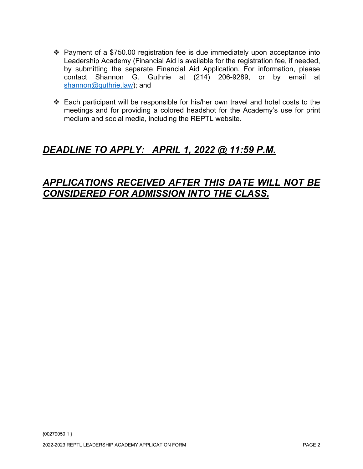- $\div$  Payment of a \$750.00 registration fee is due immediately upon acceptance into Leadership Academy (Financial Aid is available for the registration fee, if needed, by submitting the separate Financial Aid Application. For information, please contact Shannon G. Guthrie at (214) 206-9289, or by email at [shannon@guthrie.law\)](mailto:shannon@guthrie.law); and
- Each participant will be responsible for his/her own travel and hotel costs to the meetings and for providing a colored headshot for the Academy's use for print medium and social media, including the REPTL website.

# *DEADLINE TO APPLY: APRIL 1, 2022 @ 11:59 P.M.*

## *APPLICATIONS RECEIVED AFTER THIS DATE WILL NOT BE CONSIDERED FOR ADMISSION INTO THE CLASS.*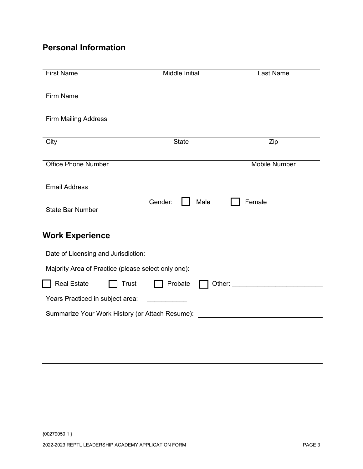## **Personal Information**

| <b>First Name</b>                                   | Middle Initial  | Last Name                                    |
|-----------------------------------------------------|-----------------|----------------------------------------------|
| Firm Name                                           |                 |                                              |
| <b>Firm Mailing Address</b>                         |                 |                                              |
| City                                                | <b>State</b>    | Zip                                          |
| <b>Office Phone Number</b>                          |                 | Mobile Number                                |
| <b>Email Address</b>                                |                 |                                              |
| <b>State Bar Number</b>                             | Gender:<br>Male | Female                                       |
| <b>Work Experience</b>                              |                 |                                              |
| Date of Licensing and Jurisdiction:                 |                 |                                              |
| Majority Area of Practice (please select only one): |                 |                                              |
| <b>Real Estate</b><br><b>Trust</b>                  | Probate         |                                              |
| Years Practiced in subject area:                    |                 |                                              |
| Summarize Your Work History (or Attach Resume):     |                 | <u> 1980 - Jan Samuel Barbara, martin di</u> |
|                                                     |                 |                                              |
|                                                     |                 |                                              |